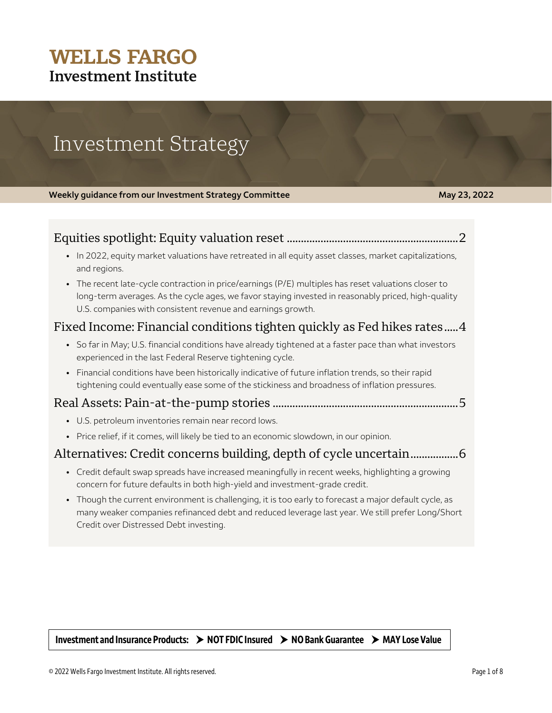## **WELLS FARGO Investment Institute**

# Investment Strategy

**Weekly guidance from our Investment Strategy Committee <b>May 23, 2022** May 23, 2022

| • In 2022, equity market valuations have retreated in all equity asset classes, market capitalizations,<br>and regions.                                                                                                                                                               |
|---------------------------------------------------------------------------------------------------------------------------------------------------------------------------------------------------------------------------------------------------------------------------------------|
| The recent late-cycle contraction in price/earnings (P/E) multiples has reset valuations closer to<br>$\bullet$<br>long-term averages. As the cycle ages, we favor staying invested in reasonably priced, high-quality<br>U.S. companies with consistent revenue and earnings growth. |
| Fixed Income: Financial conditions tighten quickly as Fed hikes rates4                                                                                                                                                                                                                |
| • So far in May; U.S. financial conditions have already tightened at a faster pace than what investors<br>experienced in the last Federal Reserve tightening cycle.                                                                                                                   |
| Financial conditions have been historically indicative of future inflation trends, so their rapid<br>tightening could eventually ease some of the stickiness and broadness of inflation pressures.                                                                                    |
|                                                                                                                                                                                                                                                                                       |
| • U.S. petroleum inventories remain near record lows.                                                                                                                                                                                                                                 |
| • Price relief, if it comes, will likely be tied to an economic slowdown, in our opinion.                                                                                                                                                                                             |
|                                                                                                                                                                                                                                                                                       |
| Credit default swap spreads have increased meaningfully in recent weeks, highlighting a growing<br>$\bullet$<br>concern for future defaults in both high-yield and investment-grade credit.                                                                                           |
| Though the current environment is challenging, it is too early to forecast a major default cycle, as<br>$\bullet$<br>many weaker companies refinanced debt and reduced leverage last year. We still prefer Long/Short<br>Credit over Distressed Debt investing.                       |
|                                                                                                                                                                                                                                                                                       |
|                                                                                                                                                                                                                                                                                       |
|                                                                                                                                                                                                                                                                                       |
|                                                                                                                                                                                                                                                                                       |

Investment and Insurance Products:  $\rightarrow$  NOT FDIC Insured  $\rightarrow$  NO Bank Guarantee  $\rightarrow$  MAY Lose Value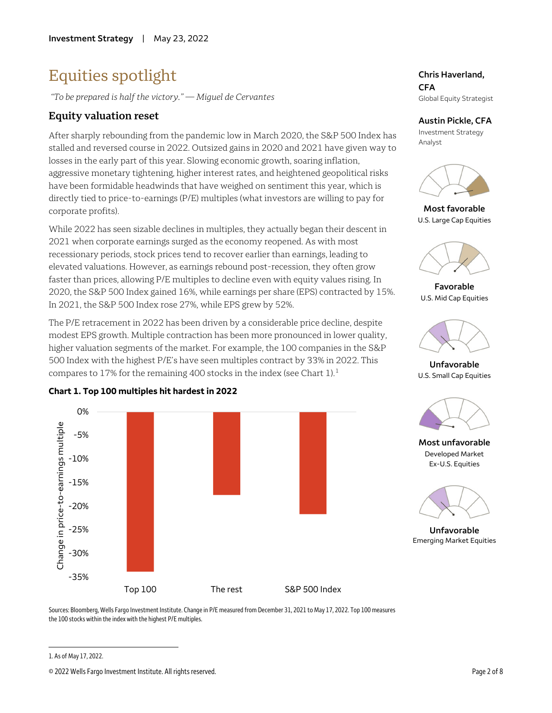# Equities spotlight

*"To be prepared is half the victory." — Miguel de Cervantes*

### **Equity valuation reset**

After sharply rebounding from the pandemic low in March 2020, the S&P 500 Index has stalled and reversed course in 2022. Outsized gains in 2020 and 2021 have given way to losses in the early part of this year. Slowing economic growth, soaring inflation, aggressive monetary tightening, higher interest rates, and heightened geopolitical risks have been formidable headwinds that have weighed on sentiment this year, which is directly tied to price-to-earnings (P/E) multiples (what investors are willing to pay for corporate profits).

While 2022 has seen sizable declines in multiples, they actually began their descent in 2021 when corporate earnings surged as the economy reopened. As with most recessionary periods, stock prices tend to recover earlier than earnings, leading to elevated valuations. However, as earnings rebound post-recession, they often grow faster than prices, allowing P/E multiples to decline even with equity values rising. In 2020, the S&P 500 Index gained 16%, while earnings per share (EPS) contracted by 15%. In 2021, the S&P 500 Index rose 27%, while EPS grew by 52%.

The P/E retracement in 2022 has been driven by a considerable price decline, despite modest EPS growth. Multiple contraction has been more pronounced in lower quality, higher valuation segments of the market. For example, the 100 companies in the S&P 500 Index with the highest P/E's have seen multiples contract by 33% in 2022. This compares to [1](#page-1-0)7% for the remaining 400 stocks in the index (see Chart 1).<sup>1</sup>



### **Chris Haverland,**

**CFA** Global Equity Strategist

**Austin Pickle, CFA** Investment Strategy

Analyst



**Most favorable** U.S. Large Cap Equities



**Favorable** U.S. Mid Cap Equities



**Unfavorable** U.S. Small Cap Equities



**Most unfavorable** Developed Market Ex-U.S. Equities



**Unfavorable** Emerging Market Equities

### **Chart 1. Top 100 multiples hit hardest in 2022**

Sources: Bloomberg, Wells Fargo Investment Institute. Change in P/E measured from December 31, 2021 to May 17, 2022. Top 100 measures

 $\overline{a}$ 

the 100 stocks within the index with the highest P/E multiples.

<span id="page-1-0"></span><sup>1.</sup> As of May 17, 2022.

<sup>© 2022</sup> Wells Fargo Investment Institute. All rights reserved. Page 2 of 8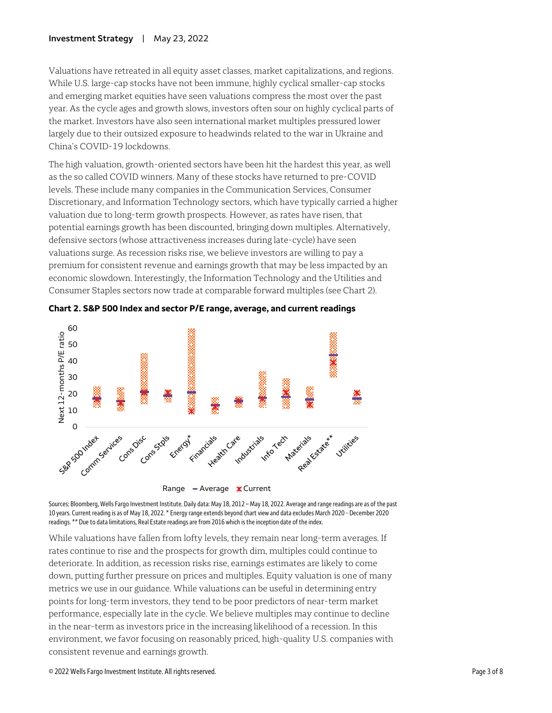Valuations have retreated in all equity asset classes, market capitalizations, and regions. While U.S. large-cap stocks have not been immune, highly cyclical smaller-cap stocks and emerging market equities have seen valuations compress the most over the past year. As the cycle ages and growth slows, investors often sour on highly cyclical parts of the market. Investors have also seen international market multiples pressured lower largely due to their outsized exposure to headwinds related to the war in Ukraine and China's COVID-19 lockdowns.

The high valuation, growth-oriented sectors have been hit the hardest this year, as well as the so called COVID winners. Many of these stocks have returned to pre-COVID levels. These include many companies in the Communication Services, Consumer Discretionary, and Information Technology sectors, which have typically carried a higher valuation due to long-term growth prospects. However, as rates have risen, that potential earnings growth has been discounted, bringing down multiples. Alternatively, defensive sectors (whose attractiveness increases during late-cycle) have seen valuations surge. As recession risks rise, we believe investors are willing to pay a premium for consistent revenue and earnings growth that may be less impacted by an economic slowdown. Interestingly, the Information Technology and the Utilities and Consumer Staples sectors now trade at comparable forward multiples (see Chart 2).





Sources: Bloomberg, Wells Fargo Investment Institute. Daily data: May 18, 2012 – May 18, 2022. Average and range readings are as of the past 10 years. Current reading is as ofMay 18, 2022. \* Energy range extends beyond chart view and data excludes March 2020 - December 2020 readings.\*\* Due to data limitations, Real Estate readings are from 2016 which is the inception date of the index.

While valuations have fallen from lofty levels, they remain near long-term averages. If rates continue to rise and the prospects for growth dim, multiples could continue to deteriorate. In addition, as recession risks rise, earnings estimates are likely to come down, putting further pressure on prices and multiples. Equity valuation is one of many metrics we use in our guidance. While valuations can be useful in determining entry points for long-term investors, they tend to be poor predictors of near-term market performance, especially late in the cycle. We believe multiples may continue to decline in the near-term as investors price in the increasing likelihood of a recession. In this environment, we favor focusing on reasonably priced, high-quality U.S. companies with consistent revenue and earnings growth.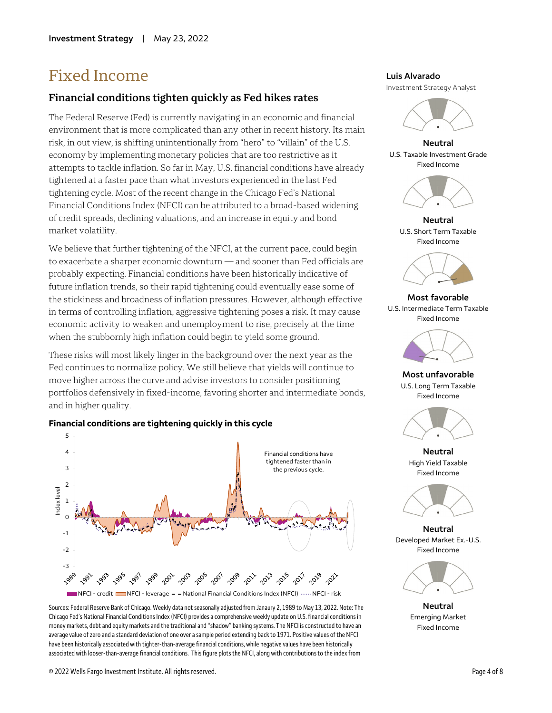### Fixed Income

### **Financial conditions tighten quickly as Fed hikes rates**

The Federal Reserve (Fed) is currently navigating in an economic and financial environment that is more complicated than any other in recent history. Its main risk, in out view, is shifting unintentionally from "hero" to "villain" of the U.S. economy by implementing monetary policies that are too restrictive as it attempts to tackle inflation. So far in May, U.S. financial conditions have already tightened at a faster pace than what investors experienced in the last Fed tightening cycle. Most of the recent change in the Chicago Fed's National Financial Conditions Index (NFCI) can be attributed to a broad-based widening of credit spreads, declining valuations, and an increase in equity and bond market volatility.

We believe that further tightening of the NFCI, at the current pace, could begin to exacerbate a sharper economic downturn — and sooner than Fed officials are probably expecting. Financial conditions have been historically indicative of future inflation trends, so their rapid tightening could eventually ease some of the stickiness and broadness of inflation pressures. However, although effective in terms of controlling inflation, aggressive tightening poses a risk. It may cause economic activity to weaken and unemployment to rise, precisely at the time when the stubbornly high inflation could begin to yield some ground.

These risks will most likely linger in the background over the next year as the Fed continues to normalize policy. We still believe that yields will continue to move higher across the curve and advise investors to consider positioning portfolios defensively in fixed-income, favoring shorter and intermediate bonds, and in higher quality.

### **Financial conditions are tightening quickly in this cycle**



Sources: Federal Reserve Bank of Chicago. Weekly data not seasonally adjusted from Janaury 2, 1989 to May 13, 2022. Note: The Chicago Fed's National Financial Conditions Index (NFCI) provides a comprehensive weekly update on U.S. financial conditions in money markets, debt and equity markets and the traditional and "shadow" banking systems. The NFCI is constructed to have an average value of zero and a standard deviation of one over a sample period extending back to 1971. Positive values of the NFCI have been historically associated with tighter-than-average financial conditions, while negative values have been historically associated with looser-than-average financial conditions. This figure plots the NFCI, along with contributions to the index from

### **Luis Alvarado**

Investment Strategy Analyst



**Neutral** U.S. Taxable Investment Grade Fixed Income



**Neutral** U.S. Short Term Taxable Fixed Income



**Most favorable** U.S. Intermediate Term Taxable Fixed Income



**Most unfavorable** U.S. Long Term Taxable Fixed Income



**Neutral** High Yield Taxable Fixed Income



**Neutral** Developed Market Ex.-U.S. Fixed Income



**Neutral** Emerging Market Fixed Income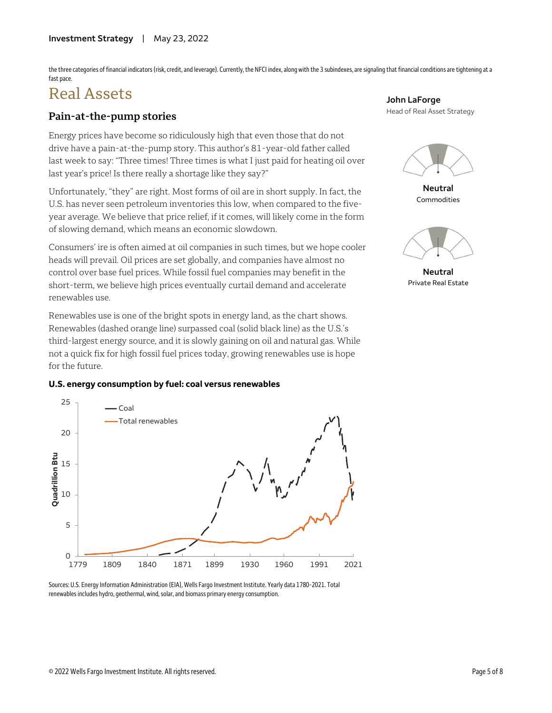the three categories of financial indicators (risk, credit, and leverage). Currently, the NFCI index, along with the 3 subindexes, are signaling that financial conditions are tightening at a fast pace.

### Real Assets

### **Pain-at-the-pump stories**

Energy prices have become so ridiculously high that even those that do not drive have a pain-at-the-pump story. This author's 81-year-old father called last week to say: "Three times! Three times is what I just paid for heating oil over last year's price! Is there really a shortage like they say?"

Unfortunately, "they" are right. Most forms of oil are in short supply. In fact, the U.S. has never seen petroleum inventories this low, when compared to the fiveyear average. We believe that price relief, if it comes, will likely come in the form of slowing demand, which means an economic slowdown.

Consumers' ire is often aimed at oil companies in such times, but we hope cooler heads will prevail. Oil prices are set globally, and companies have almost no control over base fuel prices. While fossil fuel companies may benefit in the short-term, we believe high prices eventually curtail demand and accelerate renewables use.

Renewables use is one of the bright spots in energy land, as the chart shows. Renewables (dashed orange line) surpassed coal (solid black line) as the U.S.'s third-largest energy source, and it is slowly gaining on oil and natural gas. While not a quick fix for high fossil fuel prices today, growing renewables use is hope for the future.

### **U.S. energy consumption by fuel: coal versus renewables**



Sources: U.S. Energy Information Administration (EIA), Wells Fargo Investment Institute. Yearly data 1780-2021. Total renewables includes hydro, geothermal, wind, solar, and biomass primary energy consumption.

**John LaForge** Head of Real Asset Strategy



**Neutral** Commodities



**Neutral** Private Real Estate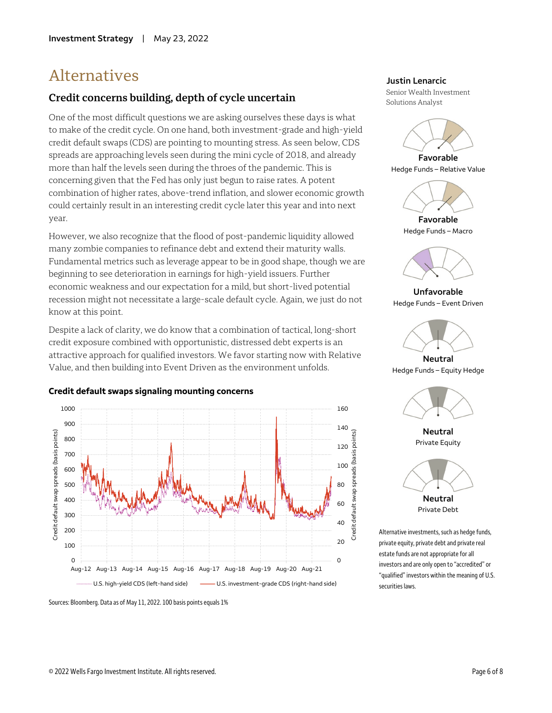### Alternatives

### **Credit concerns building, depth of cycle uncertain**

One of the most difficult questions we are asking ourselves these days is what to make of the credit cycle. On one hand, both investment-grade and high-yield credit default swaps (CDS) are pointing to mounting stress. As seen below, CDS spreads are approaching levels seen during the mini cycle of 2018, and already more than half the levels seen during the throes of the pandemic. This is concerning given that the Fed has only just begun to raise rates. A potent combination of higher rates, above-trend inflation, and slower economic growth could certainly result in an interesting credit cycle later this year and into next year.

However, we also recognize that the flood of post-pandemic liquidity allowed many zombie companies to refinance debt and extend their maturity walls. Fundamental metrics such as leverage appear to be in good shape, though we are beginning to see deterioration in earnings for high-yield issuers. Further economic weakness and our expectation for a mild, but short-lived potential recession might not necessitate a large-scale default cycle. Again, we just do not know at this point.

Despite a lack of clarity, we do know that a combination of tactical, long-short credit exposure combined with opportunistic, distressed debt experts is an attractive approach for qualified investors. We favor starting now with Relative Value, and then building into Event Driven as the environment unfolds.





#### **Justin Lenarcic**

Senior Wealth Investment Solutions Analyst



**Favorable** Hedge Funds – Relative Value



Hedge Funds – Macro



**Unfavorable** Hedge Funds – Event Driven



Hedge Funds – Equity Hedge



**Neutral** Private Equity



Alternative investments, such as hedge funds, private equity, private debt and private real estate funds are not appropriate for all investors and are only open to "accredited" or "qualified" investors within the meaning of U.S. securities laws.

Sources: Bloomberg. Data as of May 11, 2022. 100 basis points equals 1%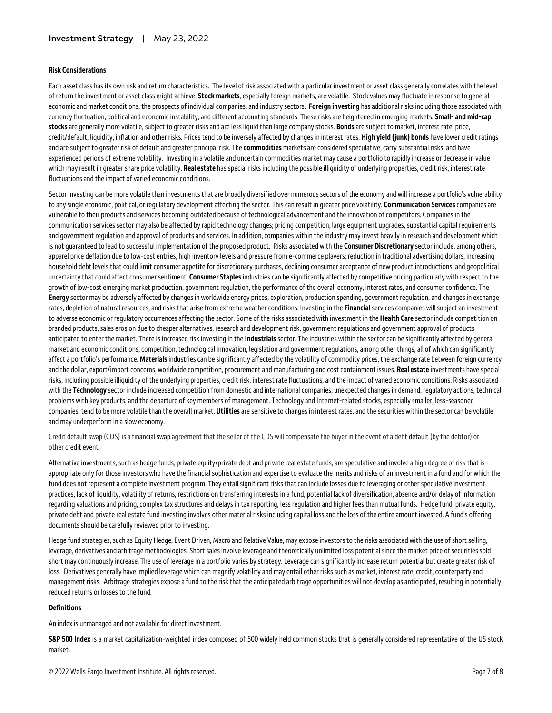#### **Risk Considerations**

Each asset class has its own risk and return characteristics. The level of risk associated with a particular investment or asset class generally correlates with the level of return the investment or asset class might achieve. **Stock markets**, especially foreign markets, are volatile. Stock values may fluctuate in response to general economic and market conditions, the prospects of individual companies, and industry sectors. **Foreign investing** has additional risks including those associated with currency fluctuation, political and economic instability, and different accounting standards. These risks are heightened in emerging markets. **Small- and mid-cap stocks**are generally more volatile, subject to greater risks and are less liquid than large company stocks. **Bonds**are subject to market, interest rate, price, credit/default, liquidity, inflation and other risks. Prices tend to be inversely affected by changes in interest rates. **High yield (junk) bonds** have lower credit ratings and are subject to greater risk of default and greater principal risk. The **commodities** markets are considered speculative, carry substantial risks, and have experienced periods of extreme volatility. Investing in a volatile and uncertain commodities market may cause a portfolio to rapidly increase or decrease in value which may result in greater share price volatility. **Real estate** has special risks including the possible illiquidity of underlying properties, credit risk, interest rate fluctuations and the impact of varied economic conditions.

Sector investing can be more volatile than investments that are broadly diversified over numerous sectors of the economy and will increase a portfolio's vulnerability to any single economic, political, or regulatory development affecting the sector. This can result in greater price volatility. **Communication Services**companies are vulnerable to their products and services becoming outdated because of technological advancement and the innovation of competitors. Companies in the communication services sector may also be affected by rapid technology changes; pricing competition, large equipment upgrades, substantial capital requirements and government regulation and approval of products and services. In addition, companies within the industry may invest heavily in research and development which is not guaranteed to lead to successful implementation of the proposed product. Risks associated with the **Consumer Discretionary** sector include, among others, apparel price deflation due to low-cost entries, high inventory levels and pressure from e-commerce players; reduction in traditional advertising dollars, increasing household debt levels that could limit consumer appetite for discretionary purchases, declining consumer acceptance of new product introductions, and geopolitical uncertainty that could affect consumer sentiment. **Consumer Staples**industries can be significantly affected by competitive pricing particularly with respect to the growth of low-cost emerging market production, government regulation, the performance of the overall economy, interest rates, and consumer confidence. The **Energy** sector may be adversely affected by changes in worldwide energy prices, exploration, production spending, government regulation, and changes in exchange rates, depletion of natural resources, and risks that arise from extreme weather conditions. Investing in the **Financial**services companies will subject an investment to adverse economic or regulatory occurrences affecting the sector. Some of the risks associated with investment in the **Health Care** sector include competition on branded products, sales erosion due to cheaper alternatives, research and development risk, government regulations and government approval of products anticipated to enter the market. There is increased risk investing in the **Industrials**sector. The industries within the sector can be significantly affected by general market and economic conditions, competition, technological innovation, legislation and government regulations, among other things, all of which can significantly affect a portfolio's performance. **Materials**industries can be significantly affected by the volatility of commodity prices, the exchange rate between foreign currency and the dollar, export/import concerns, worldwide competition, procurement and manufacturing and cost containment issues. **Real estate** investments have special risks, including possible illiquidity of the underlying properties, credit risk, interest rate fluctuations, and the impact of varied economic conditions. Risks associated with the **Technology** sector include increased competition from domestic and international companies, unexpected changes in demand, regulatory actions, technical problems with key products, and the departure of key members of management. Technology and Internet-related stocks, especially smaller, less-seasoned companies, tend to be more volatile than the overall market. **Utilities**are sensitive to changes in interest rates, and the securities within the sector can be volatile and may underperform in a slow economy.

Credit default swap (CDS) is afinancial swap agreement that the seller of the CDS will compensate the buyer in the event of a debt default (by the debtor) or other credit event.

Alternative investments, such as hedge funds, private equity/private debt and private real estate funds, are speculative and involve a high degree of risk that is appropriate only for those investors who have the financial sophistication and expertise to evaluate the merits and risks of an investment in a fund and for which the fund does not represent a complete investment program. They entail significant risks that can include losses due to leveraging or other speculative investment practices, lack of liquidity, volatility of returns, restrictions on transferring interests in a fund, potential lack of diversification, absence and/or delay of information regarding valuations and pricing, complex tax structures and delays in tax reporting, less regulation and higher fees than mutual funds. Hedge fund, private equity, private debt and private real estate fund investing involves other material risks including capital loss and the loss of the entire amount invested. A fund's offering documents should be carefully reviewed prior to investing.

Hedge fund strategies, such as Equity Hedge, Event Driven, Macro and Relative Value, may expose investors to the risks associated with the use of short selling, leverage, derivatives and arbitrage methodologies. Short sales involve leverage and theoretically unlimited loss potential since the market price of securities sold short may continuously increase. The use of leverage in a portfolio varies by strategy. Leverage can significantly increase return potential but create greater risk of loss. Derivatives generally have implied leverage which can magnify volatility and may entail other risks such as market, interest rate, credit, counterparty and management risks. Arbitrage strategies expose a fund to the risk that the anticipated arbitrage opportunities will not develop as anticipated, resulting in potentially reduced returns or losses to the fund.

#### **Definitions**

An index is unmanaged and not available for direct investment.

**S&P 500 Index** is a market capitalization-weighted index composed of 500 widely held common stocks that is generally considered representative of the US stock market.